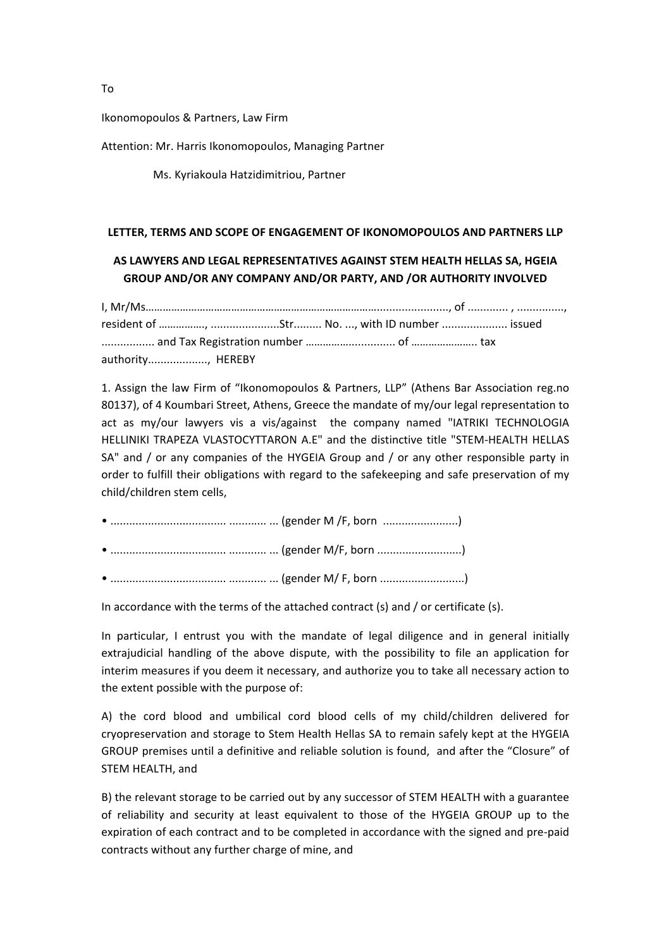Ikonomopoulos & Partners, Law Firm

Attention: Mr. Harris Ikonomopoulos, Managing Partner

Ms. Kyriakoula Hatzidimitriou, Partner

## LETTER, TERMS AND SCOPE OF ENGAGEMENT OF IKONOMOPOULOS AND PARTNERS LLP

## AS LAWYERS AND LEGAL REPRESENTATIVES AGAINST STEM HEALTH HELLAS SA, HGEIA **GROUP AND/OR ANY COMPANY AND/OR PARTY, AND /OR AUTHORITY INVOLVED**

I, Mr/Ms………………………………………………………………………......................., of ............. , ..............., resident of ……………., …………………….Str......... No. ..., with ID number …………………. issued ................. and Tax Registration number ……………............... of ………………….. tax authority..................., HEREBY

1. Assign the law Firm of "Ikonomopoulos & Partners, LLP" (Athens Bar Association reg.no 80137), of 4 Koumbari Street, Athens, Greece the mandate of my/our legal representation to act as my/our lawyers vis a vis/against the company named "IATRIKI TECHNOLOGIA HELLINIKI TRAPEZA VLASTOCYTTARON A.E" and the distinctive title "STEM-HEALTH HELLAS SA" and / or any companies of the HYGEIA Group and / or any other responsible party in order to fulfill their obligations with regard to the safekeeping and safe preservation of my child/children stem cells.

In accordance with the terms of the attached contract (s) and  $/$  or certificate (s).

In particular, I entrust you with the mandate of legal diligence and in general initially extrajudicial handling of the above dispute, with the possibility to file an application for interim measures if you deem it necessary, and authorize you to take all necessary action to the extent possible with the purpose of:

A) the cord blood and umbilical cord blood cells of my child/children delivered for cryopreservation and storage to Stem Health Hellas SA to remain safely kept at the HYGEIA GROUP premises until a definitive and reliable solution is found, and after the "Closure" of STEM HEALTH, and

B) the relevant storage to be carried out by any successor of STEM HEALTH with a guarantee of reliability and security at least equivalent to those of the HYGEIA GROUP up to the expiration of each contract and to be completed in accordance with the signed and pre-paid contracts without any further charge of mine, and

To